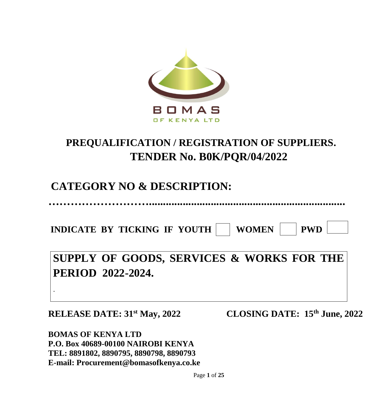

# **PREQUALIFICATION / REGISTRATION OF SUPPLIERS. TENDER No. B0K/PQR/04/2022**

# **CATEGORY NO & DESCRIPTION:**

**………………………......................................................................**

**INDICATE BY TICKING IF YOUTH WOMEN | PWD** 

**SUPPLY OF GOODS, SERVICES & WORKS FOR THE PERIOD 2022-2024.** 

**-**

**RELEASE DATE: 31st May, 2022 CLOSING DATE: 15th June, 2022**

**BOMAS OF KENYA LTD P.O. Box 40689-00100 NAIROBI KENYA TEL: 8891802, 8890795, 8890798, 8890793 E-mail: Procurement@bomasofkenya.co.ke**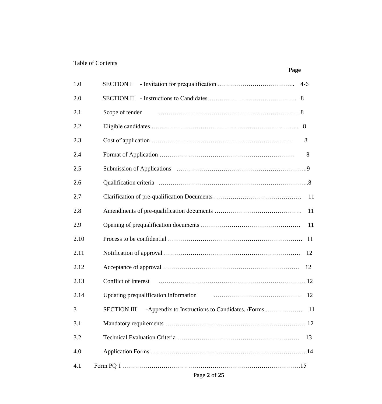# Table of Contents

|      | Page                                                                        |
|------|-----------------------------------------------------------------------------|
| 1.0  | <b>SECTION I</b>                                                            |
| 2.0  | <b>SECTION II</b>                                                           |
| 2.1  | Scope of tender                                                             |
| 2.2  | 8                                                                           |
| 2.3  | 8                                                                           |
| 2.4  | 8                                                                           |
| 2.5  |                                                                             |
| 2.6  |                                                                             |
| 2.7  | 11                                                                          |
| 2.8  | 11                                                                          |
| 2.9  | 11                                                                          |
| 2.10 | -11                                                                         |
| 2.11 | 12                                                                          |
| 2.12 | 12                                                                          |
| 2.13 | Conflict of interest                                                        |
| 2.14 | Updating prequalification information<br>12                                 |
| 3    | <b>SECTION III</b><br>-Appendix to Instructions to Candidates. /Forms<br>11 |
| 3.1  |                                                                             |
| 3.2  | 13                                                                          |
| 4.0  |                                                                             |
| 4.1  |                                                                             |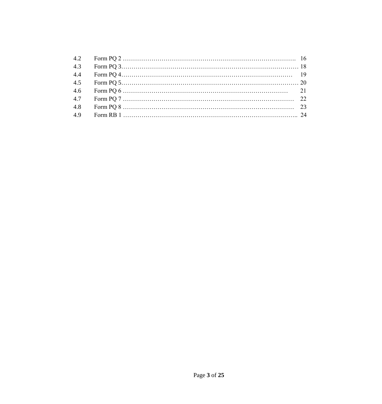| 4.3 |  |
|-----|--|
| 4.4 |  |
| 4.5 |  |
| 4.6 |  |
| 4.7 |  |
| 4.8 |  |
| 4.9 |  |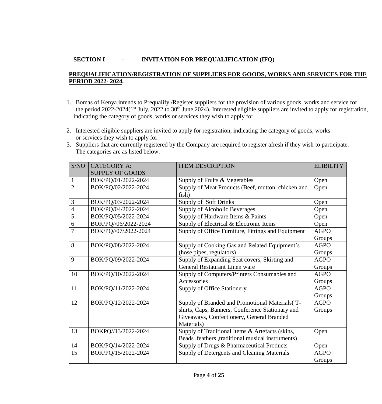# **SECTION I - INVITATION FOR PREQUALIFICATION (IFQ)**

#### **PREQUALIFICATION/REGISTRATION OF SUPPLIERS FOR GOODS, WORKS AND SERVICES FOR THE PERIOD 2022- 2024.**

- 1. Bomas of Kenya intends to Prequalify /Register suppliers for the provision of various goods, works and service for the period 2022-2024(1<sup>st</sup> July, 2022 to 30<sup>th</sup> June 2024). Interested eligible suppliers are invited to apply for registration, indicating the category of goods, works or services they wish to apply for.
- 2. Interested eligible suppliers are invited to apply for registration, indicating the category of goods, works or services they wish to apply for.
- 3. Suppliers that are currently registered by the Company are required to register afresh if they wish to participate. The categories are as listed below.

| S/NO           | <b>CATEGORY A:</b>     | <b>ITEM DESCRIPTION</b>                             | <b>ELIBILITY</b> |
|----------------|------------------------|-----------------------------------------------------|------------------|
|                | <b>SUPPLY OF GOODS</b> |                                                     |                  |
| 1              | BOK/PQ/01/2022-2024    | Supply of Fruits & Vegetables                       | Open             |
| $\overline{2}$ | BOK/PQ/02/2022-2024    | Supply of Meat Products (Beef, mutton, chicken and  | Open             |
|                |                        | fish)                                               |                  |
| 3              | BOK/PQ/03/2022-2024    | Supply of Soft Drinks                               | Open             |
| 4              | BOK/PQ/04/2022-2024    | Supply of Alcoholic Beverages                       | Open             |
| 5              | BOK/PQ/05/2022-2024    | Supply of Hardware Items & Paints                   | Open             |
| 6              | BOK/PQ//06/2022-2024   | Supply of Electrical & Electronic Items             | Open             |
| $\overline{7}$ | BOK/PQ//07/2022-2024   | Supply of Office Furniture, Fittings and Equipment  | <b>AGPO</b>      |
|                |                        |                                                     | Groups           |
| 8              | BOK/PQ/08/2022-2024    | Supply of Cooking Gas and Related Equipment's       | <b>AGPO</b>      |
|                |                        | (hose pipes, regulators)                            | Groups           |
| 9              | BOK/PQ/09/2022-2024    | Supply of Expanding Seat covers, Skirting and       | <b>AGPO</b>      |
|                |                        | General Restaurant Linen ware                       | Groups           |
| 10             | BOK/PQ/10/2022-2024    | Supply of Computers/Printers Consumables and        | <b>AGPO</b>      |
|                |                        | Accessories                                         | Groups           |
| 11             | BOK/PQ/11/2022-2024    | <b>Supply of Office Stationery</b>                  | <b>AGPO</b>      |
|                |                        |                                                     | Groups           |
| 12             | BOK/PQ/12/2022-2024    | Supply of Branded and Promotional Materials(T-      | <b>AGPO</b>      |
|                |                        | shirts, Caps, Banners, Conference Stationary and    | Groups           |
|                |                        | Giveaways, Confectionery, General Branded           |                  |
|                |                        | Materials)                                          |                  |
| 13             | BOKPQ//13/2022-2024    | Supply of Traditional Items & Artefacts (skins,     | Open             |
|                |                        | Beads , feathers , traditional musical instruments) |                  |
| 14             | BOK/PQ/14/2022-2024    | Supply of Drugs & Pharmaceutical Products           | Open             |
| 15             | BOK/PQ/15/2022-2024    | Supply of Detergents and Cleaning Materials         | <b>AGPO</b>      |
|                |                        |                                                     | Groups           |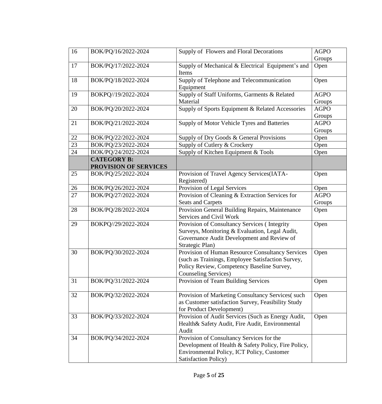| 16              | BOK/PQ/16/2022-2024                         | Supply of Flowers and Floral Decorations                                                                                                                                      | <b>AGPO</b><br>Groups |
|-----------------|---------------------------------------------|-------------------------------------------------------------------------------------------------------------------------------------------------------------------------------|-----------------------|
| 17              | BOK/PO/17/2022-2024                         | Supply of Mechanical & Electrical Equipment's and<br>Items                                                                                                                    | Open                  |
| 18              | BOK/PQ/18/2022-2024                         | Supply of Telephone and Telecommunication<br>Equipment                                                                                                                        | Open                  |
| 19              | BOKPQ//19/2022-2024                         | Supply of Staff Uniforms, Garments & Related<br>Material                                                                                                                      | <b>AGPO</b><br>Groups |
| 20              | BOK/PQ/20/2022-2024                         | Supply of Sports Equipment & Related Accessories                                                                                                                              | <b>AGPO</b><br>Groups |
| 21              | BOK/PQ/21/2022-2024                         | Supply of Motor Vehicle Tyres and Batteries                                                                                                                                   | <b>AGPO</b><br>Groups |
| 22              | BOK/PQ/22/2022-2024                         | Supply of Dry Goods & General Provisions                                                                                                                                      | Open                  |
| $\overline{23}$ | BOK/PQ/23/2022-2024                         | Supply of Cutlery & Crockery                                                                                                                                                  | Open                  |
| 24              | BOK/PQ/24/2022-2024                         | Supply of Kitchen Equipment & Tools                                                                                                                                           | Open                  |
|                 | <b>CATEGORY B:</b><br>PROVISION OF SERVICES |                                                                                                                                                                               |                       |
| 25              | BOK/PQ/25/2022-2024                         | Provision of Travel Agency Services (IATA-<br>Registered)                                                                                                                     | Open                  |
| 26              | BOK/PQ/26/2022-2024                         | Provision of Legal Services                                                                                                                                                   | Open                  |
| 27              | BOK/PQ/27/2022-2024                         | Provision of Cleaning & Extraction Services for                                                                                                                               | <b>AGPO</b>           |
|                 |                                             | <b>Seats and Carpets</b>                                                                                                                                                      | Groups                |
| 28              | BOK/PQ/28/2022-2024                         | Provision General Building Repairs, Maintenance<br>Services and Civil Work                                                                                                    | Open                  |
| 29              | BOKPQ//29/2022-2024                         | Provision of Consultancy Services (Integrity<br>Surveys, Monitoring & Evaluation, Legal Audit,<br>Governance Audit Development and Review of<br>Strategic Plan)               | Open                  |
| 30              | BOK/PQ/30/2022-2024                         | Provision of Human Resource Consultancy Services<br>(such as Trainings, Employee Satisfaction Survey,<br>Policy Review, Competency Baseline Survey,<br>Counseling Services)   | Open                  |
| 31              | BOK/PQ/31/2022-2024                         | Provision of Team Building Services                                                                                                                                           | Open                  |
| 32              | BOK/PQ/32/2022-2024                         | Provision of Marketing Consultancy Services(such<br>as Customer satisfaction Survey, Feasibility Study<br>for Product Development)                                            | Open                  |
| 33              | BOK/PQ/33/2022-2024                         | Provision of Audit Services (Such as Energy Audit,<br>Health& Safety Audit, Fire Audit, Environmental<br>Audit                                                                | Open                  |
| 34              | BOK/PQ/34/2022-2024                         | Provision of Consultancy Services for the<br>Development of Health & Safety Policy, Fire Policy,<br>Environmental Policy, ICT Policy, Customer<br><b>Satisfaction Policy)</b> |                       |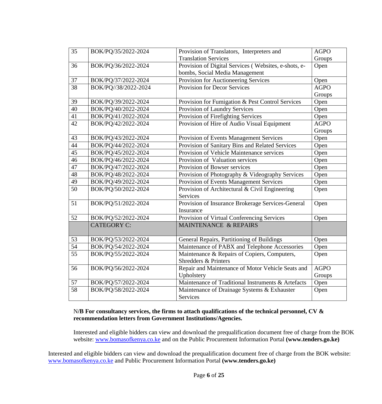| 35              | BOK/PQ/35/2022-2024  | Provision of Translators, Interpreters and           | <b>AGPO</b> |
|-----------------|----------------------|------------------------------------------------------|-------------|
|                 |                      | <b>Translation Services</b>                          | Groups      |
| 36              | BOK/PQ/36/2022-2024  | Provision of Digital Services (Websites, e-shots, e- | Open        |
|                 |                      | bombs, Social Media Management                       |             |
| 37              | BOK/PQ/37/2022-2024  | Provision for Auctioneering Services                 | Open        |
| $\overline{38}$ | BOK/PQ//38/2022-2024 | <b>Provision for Decor Services</b>                  | <b>AGPO</b> |
|                 |                      |                                                      | Groups      |
| 39              | BOK/PQ/39/2022-2024  | Provision for Fumigation & Pest Control Services     | Open        |
| 40              | BOK/PQ/40/2022-2024  | Provision of Laundry Services                        | Open        |
| 41              | BOK/PQ/41/2022-2024  | Provision of Firefighting Services                   | Open        |
| $\overline{42}$ | BOK/PQ/42/2022-2024  | Provision of Hire of Audio Visual Equipment          | <b>AGPO</b> |
|                 |                      |                                                      | Groups      |
| 43              | BOK/PQ/43/2022-2024  | Provision of Events Management Services              | Open        |
| 44              | BOK/PQ/44/2022-2024  | Provision of Sanitary Bins and Related Services      | Open        |
| 45              | BOK/PQ/45/2022-2024  | Provision of Vehicle Maintenance services            | Open        |
| 46              | BOK/PQ/46/2022-2024  | Provision of Valuation services                      | Open        |
| $\overline{47}$ | BOK/PQ/47/2022-2024  | Provision of Bowser services                         | Open        |
| 48              | BOK/PQ/48/2022-2024  | Provision of Photography & Videography Services      | Open        |
| 49              | BOK/PQ/49/2022-2024  | Provision of Events Management Services              | Open        |
| $\overline{50}$ | BOK/PQ/50/2022-2024  | Provision of Architectural & Civil Engineering       | Open        |
|                 |                      | Services                                             |             |
| 51              | BOK/PQ/51/2022-2024  | Provision of Insurance Brokerage Services-General    | Open        |
|                 |                      | Insurance                                            |             |
| 52              | BOK/PQ/52/2022-2024  | Provision of Virtual Conferencing Services           | Open        |
|                 | <b>CATEGORY C:</b>   | <b>MAINTENANCE &amp; REPAIRS</b>                     |             |
|                 |                      |                                                      |             |
| 53              | BOK/PQ/53/2022-2024  | General Repairs, Partitioning of Buildings           | Open        |
| $\overline{54}$ | BOK/PQ/54/2022-2024  | Maintenance of PABX and Telephone Accessories        | Open        |
| $\overline{55}$ | BOK/PQ/55/2022-2024  | Maintenance & Repairs of Copiers, Computers,         | Open        |
|                 |                      | <b>Shredders &amp; Printers</b>                      |             |
| 56              | BOK/PQ/56/2022-2024  | Repair and Maintenance of Motor Vehicle Seats and    | <b>AGPO</b> |
|                 |                      | Upholstery                                           | Groups      |
| 57              | BOK/PQ/57/2022-2024  | Maintenance of Traditional Instruments & Artefacts   | Open        |
| $\overline{58}$ | BOK/PQ/58/2022-2024  | Maintenance of Drainage Systems & Exhauster          | Open        |
|                 |                      | Services                                             |             |

# N**/B For consultancy services, the firms to attach qualifications of the technical personnel, CV & recommendation letters from Government Institutions/Agencies.**

Interested and eligible bidders can view and download the prequalification document free of charge from the BOK website: [www.bomasofkenya.co.ke](http://www.bomasofkenya.co.ke/) and on the Public Procurement Information Portal **(www.tenders.go.ke[\)](http://www.agrifinance.org/)**

Interested and eligible bidders can view and download the prequalification document free of charge from the BOK website: [www.bomasofkenya.co.ke](http://www.bomasofkenya.co.ke/) and Public Procurement Information Portal **(www.tenders.go.ke)**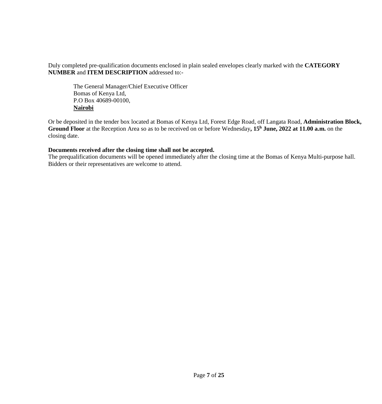Duly completed pre-qualification documents enclosed in plain sealed envelopes clearly marked with the **CATEGORY NUMBER** and **ITEM DESCRIPTION** addressed to:-

The General Manager/Chief Executive Officer Bomas of Kenya Ltd, P.O Box 40689-00100, **Nairobi**

Or be deposited in the tender box located at Bomas of Kenya Ltd, Forest Edge Road, off Langata Road, **Administration Block, Ground Floor** at the Reception Area so as to be received on or before Wednesday**, 15<sup>h</sup> June, 2022 at 11.00 a.m.** on the closing date.

#### **Documents received after the closing time shall not be accepted.**

The prequalification documents will be opened immediately after the closing time at the Bomas of Kenya Multi-purpose hall. Bidders or their representatives are welcome to attend.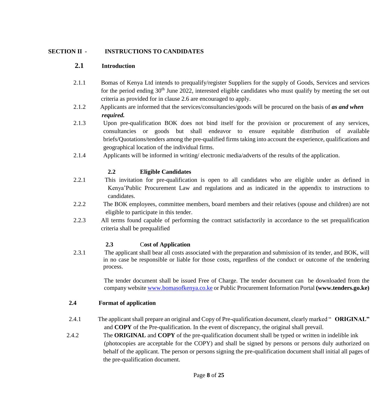#### **SECTION II - INSTRUCTIONS TO CANDIDATES**

#### **2.1 Introduction**

- 2.1.1 Bomas of Kenya Ltd intends to prequalify/register Suppliers for the supply of Goods, Services and services for the period ending  $30<sup>th</sup>$  June 2022, interested eligible candidates who must qualify by meeting the set out criteria as provided for in clause 2.6 are encouraged to apply.
- 2.1.2 Applicants are informed that the services/consultancies/goods will be procured on the basis of *as and when required.*
- 2.1.3 Upon pre-qualification BOK does not bind itself for the provision or procurement of any services, consultancies or goods but shall endeavor to ensure equitable distribution of available briefs/Quotations/tenders among the pre-qualified firms taking into account the experience, qualifications and geographical location of the individual firms.
- 2.1.4 Applicants will be informed in writing/ electronic media/adverts of the results of the application.

### **2.2 Eligible Candidates**

- 2.2.1 This invitation for pre-qualification is open to all candidates who are eligible under as defined in Kenya'Public Procurement Law and regulations and as indicated in the appendix to instructions to candidates.
- 2.2.2 The BOK employees, committee members, board members and their relatives (spouse and children) are not eligible to participate in this tender.
- 2.2.3 All terms found capable of performing the contract satisfactorily in accordance to the set prequalification criteria shall be prequalified

# **2.3** C**ost of Application**

2.3.1 The applicant shall bear all costs associated with the preparation and submission of its tender, and BOK, will in no case be responsible or liable for those costs, regardless of the conduct or outcome of the tendering process.

> The tender document shall be issued Free of Charge. The tender document can be downloaded from the company websit[e www.bomasofkenya.co.ke](http://www.bomasofkenya.co.ke/) or Public Procurement Information Portal **(www.tenders.go.ke[\)](http://www.agrifinance.org/)**

#### **2.4 Format of application**

- 2.4.1 The applicant shall prepare an original and Copy of Pre-qualification document, clearly marked " **ORIGINAL"** and **COPY** of the Pre-qualification. In the event of discrepancy, the original shall prevail.
- 2.4.2 The **ORIGINAL** and **COPY** of the pre-qualification document shall be typed or written in indelible ink (photocopies are acceptable for the COPY) and shall be signed by persons or persons duly authorized on behalf of the applicant. The person or persons signing the pre-qualification document shall initial all pages of the pre-qualification document.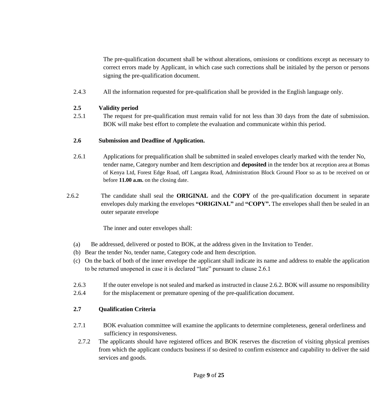The pre-qualification document shall be without alterations, omissions or conditions except as necessary to correct errors made by Applicant, in which case such corrections shall be initialed by the person or persons signing the pre-qualification document.

2.4.3 All the information requested for pre-qualification shall be provided in the English language only.

#### **2.5 Validity period**

2.5.1 The request for pre-qualification must remain valid for not less than 30 days from the date of submission. BOK will make best effort to complete the evaluation and communicate within this period.

### **2.6 Submission and Deadline of Application.**

- 2.6.1 Applications for prequalification shall be submitted in sealed envelopes clearly marked with the tender No, tender name, Category number and Item description and **deposited** in the tender box at reception area at Bomas of Kenya Ltd, Forest Edge Road, off Langata Road, Administration Block Ground Floor so as to be received on or before **11.00 a.m.** on the closing date.
- 2.6.2 The candidate shall seal the **ORIGINAL** and the **COPY** of the pre-qualification document in separate envelopes duly marking the envelopes **"ORIGINAL"** and **"COPY".** The envelopes shall then be sealed in an outer separate envelope

The inner and outer envelopes shall:

- (a) Be addressed, delivered or posted to BOK, at the address given in the Invitation to Tender.
- (b) Bear the tender No, tender name, Category code and Item description.
- (c) On the back of both of the inner envelope the applicant shall indicate its name and address to enable the application to be returned unopened in case it is declared "late" pursuant to clause 2.6.1
- 2.6.3 If the outer envelope is not sealed and marked as instructed in clause 2.6.2. BOK will assume no responsibility
- 2.6.4 for the misplacement or premature opening of the pre-qualification document.

# **2.7 Qualification Criteria**

- 2.7.1 BOK evaluation committee will examine the applicants to determine completeness, general orderliness and sufficiency in responsiveness.
	- 2.7.2 The applicants should have registered offices and BOK reserves the discretion of visiting physical premises from which the applicant conducts business if so desired to confirm existence and capability to deliver the said services and goods.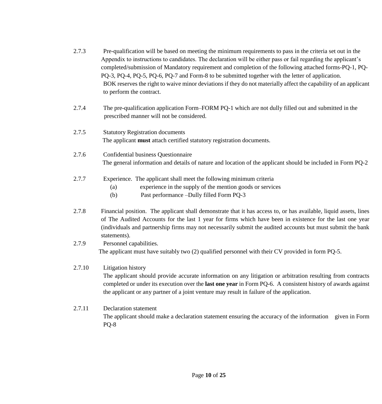| 2.7.3 | Pre-qualification will be based on meeting the minimum requirements to pass in the criteria set out in the       |
|-------|------------------------------------------------------------------------------------------------------------------|
|       | Appendix to instructions to candidates. The declaration will be either pass or fail regarding the applicant's    |
|       | completed/submission of Mandatory requirement and completion of the following attached forms-PQ-1, PQ-           |
|       | PQ-3, PQ-4, PQ-5, PQ-6, PQ-7 and Form-8 to be submitted together with the letter of application.                 |
|       | BOK reserves the right to waive minor deviations if they do not materially affect the capability of an applicant |
|       | to perform the contract.                                                                                         |

- 2.7.4 The pre-qualification application Form–FORM PQ-1 which are not dully filled out and submitted in the prescribed manner will not be considered.
- 2.7.5 Statutory Registration documents The applicant **must** attach certified statutory registration documents.
- 2.7.6 Confidential business Questionnaire The general information and details of nature and location of the applicant should be included in Form PQ-2
- 2.7.7 Experience. The applicant shall meet the following minimum criteria
	- (a) experience in the supply of the mention goods or services
	- (b) Past performance –Dully filled Form PQ-3
- 2.7.8 Financial position. The applicant shall demonstrate that it has access to, or has available, liquid assets, lines of The Audited Accounts for the last 1 year for firms which have been in existence for the last one year (individuals and partnership firms may not necessarily submit the audited accounts but must submit the bank statements).
- 2.7.9 Personnel capabilities. The applicant must have suitably two (2) qualified personnel with their CV provided in form PQ-5.
- 2.7.10 Litigation history The applicant should provide accurate information on any litigation or arbitration resulting from contracts completed or under its execution over the **last one year** in Form PQ-6. A consistent history of awards against the applicant or any partner of a joint venture may result in failure of the application.

# 2.7.11 Declaration statement The applicant should make a declaration statement ensuring the accuracy of the information given in Form PQ-8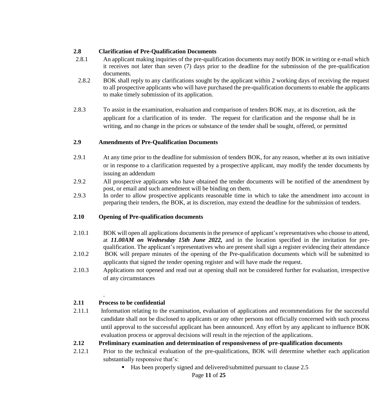#### **2.8 Clarification of Pre-Qualification Documents**

- 2.8.1 An applicant making inquiries of the pre-qualification documents may notify BOK in writing or e-mail which it receives not later than seven (7) days prior to the deadline for the submission of the pre-qualification documents.
- 2.8.2 BOK shall reply to any clarifications sought by the applicant within 2 working days of receiving the request to all prospective applicants who will have purchased the pre-qualification documents to enable the applicants to make timely submission of its application.
- 2.8.3 To assist in the examination, evaluation and comparison of tenders BOK may, at its discretion, ask the applicant for a clarification of its tender. The request for clarification and the response shall be in writing, and no change in the prices or substance of the tender shall be sought, offered, or permitted

### **2.9 Amendments of Pre-Qualification Documents**

- 2.9.1 At any time prior to the deadline for submission of tenders BOK, for any reason, whether at its own initiative or in response to a clarification requested by a prospective applicant, may modify the tender documents by issuing an addendum
- 2.9.2 All prospective applicants who have obtained the tender documents will be notified of the amendment by post, or email and such amendment will be binding on them.
- 2.9.3 In order to allow prospective applicants reasonable time in which to take the amendment into account in preparing their tenders, the BOK, at its discretion, may extend the deadline for the submission of tenders.

#### **2.10 Opening of Pre-qualification documents**

- 2.10.1 BOK will open all applications documents in the presence of applicant's representatives who choose to attend, at *11.00AM on Wednesday 15th June 2022,* and in the location specified in the invitation for prequalification. The applicant's representatives who are present shall sign a register evidencing their attendance
- 2.10.2 BOK will prepare minutes of the opening of the Pre-qualification documents which will be submitted to applicants that signed the tender opening register and will have made the request.
- 2.10.3 Applications not opened and read out at opening shall not be considered further for evaluation, irrespective of any circumstances

# **2.11 Process to be confidential**

.

2.11.1 Information relating to the examination, evaluation of applications and recommendations for the successful candidate shall not be disclosed to applicants or any other persons not officially concerned with such process until approval to the successful applicant has been announced. Any effort by any applicant to influence BOK evaluation process or approval decisions will result in the rejection of the applications.

#### **2.12 Preliminary examination and determination of responsiveness of pre-qualification documents**

- 2.12.1 Prior to the technical evaluation of the pre-qualifications, BOK will determine whether each application substantially responsive that's:
	- Has been properly signed and delivered/submitted pursuant to clause 2.5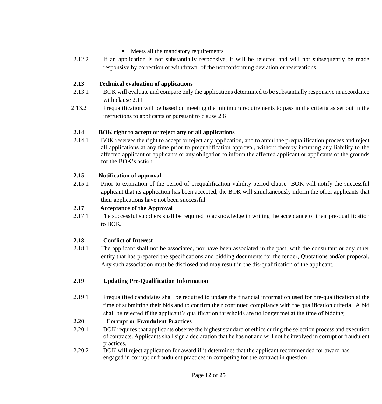#### • Meets all the mandatory requirements

2.12.2 If an application is not substantially responsive, it will be rejected and will not subsequently be made responsive by correction or withdrawal of the nonconforming deviation or reservations

#### **2.13 Technical evaluation of applications**

- 2.13.1 BOK will evaluate and compare only the applications determined to be substantially responsive in accordance with clause 2.11
- 2.13.2 Prequalification will be based on meeting the minimum requirements to pass in the criteria as set out in the instructions to applicants or pursuant to clause 2.6

### **2.14 BOK right to accept or reject any or all applications**

2.14.1 BOK reserves the right to accept or reject any application, and to annul the prequalification process and reject all applications at any time prior to prequalification approval, without thereby incurring any liability to the affected applicant or applicants or any obligation to inform the affected applicant or applicants of the grounds for the BOK's action.

### **2.15 Notification of approval**

2.15.1 Prior to expiration of the period of prequalification validity period clause- BOK will notify the successful applicant that its application has been accepted, the BOK will simultaneously inform the other applicants that their applications have not been successful

#### **2.17 Acceptance of the Approval**

2.17.1 The successful suppliers shall be required to acknowledge in writing the acceptance of their pre-qualification to BOK**.**

#### **2.18 Conflict of Interest**

2.18.1 The applicant shall not be associated, nor have been associated in the past, with the consultant or any other entity that has prepared the specifications and bidding documents for the tender, Quotations and/or proposal. Any such association must be disclosed and may result in the dis-qualification of the applicant.

#### **2.19 Updating Pre-Qualification Information**

2.19.1 Prequalified candidates shall be required to update the financial information used for pre-qualification at the time of submitting their bids and to confirm their continued compliance with the qualification criteria. A bid shall be rejected if the applicant's qualification thresholds are no longer met at the time of bidding.

#### **2.20 Corrupt or Fraudulent Practices**

- 2.20.1 BOK requires that applicants observe the highest standard of ethics during the selection process and execution of contracts. Applicants shall sign a declaration that he has not and will not be involved in corrupt or fraudulent practices.
- 2.20.2 BOK will reject application for award if it determines that the applicant recommended for award has engaged in corrupt or fraudulent practices in competing for the contract in question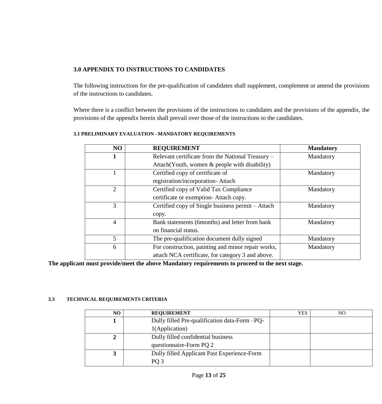### **3.0 APPENDIX TO INSTRUCTIONS TO CANDIDATES**

The following instructions for the pre-qualification of candidates shall supplement, complement or amend the provisions of the instructions to candidates.

Where there is a conflict between the provisions of the instructions to candidates and the provisions of the appendix, the provisions of the appendix herein shall prevail over those of the instructions to the candidates.

| NO             | <b>REQUIREMENT</b>                                 | <b>Mandatory</b> |
|----------------|----------------------------------------------------|------------------|
| 1              | Relevant certificate from the National Treasury –  | Mandatory        |
|                | Attach(Youth, women & people with disability)      |                  |
|                | Certified copy of certificate of                   | Mandatory        |
|                | registration/incorporation-Attach                  |                  |
| $\overline{2}$ | Certified copy of Valid Tax Compliance             | Mandatory        |
|                | certificate or exemption-Attach copy.              |                  |
| 3              | Certified copy of Single business permit – Attach  | Mandatory        |
|                | copy.                                              |                  |
| $\overline{4}$ | Bank statements (6months) and letter from bank     | Mandatory        |
|                | on financial status.                               |                  |
| 5              | The pre-qualification document dully signed        | Mandatory        |
| 6              | For construction, painting and minor repair works, | Mandatory        |
|                | attach NCA certificate, for category 3 and above.  |                  |

#### **3.1 PRELIMINARY EVALUATION –MANDATORY REQUIREMENTS**

**The applicant must provide/meet the above Mandatory requirements to proceed to the next stage.**

#### **3.3 TECHNICAL REQUIREMENTS CRITERIA**

| NO | <b>REQUIREMENT</b>                            | YES | NO |
|----|-----------------------------------------------|-----|----|
|    | Dully filled Pre-qualification data-Form -PQ- |     |    |
|    | 1(Application)                                |     |    |
|    | Dully filled confidential business            |     |    |
|    | questionnaire-Form PQ 2                       |     |    |
|    | Dully filled Applicant Past Experience-Form   |     |    |
|    | PO <sub>3</sub>                               |     |    |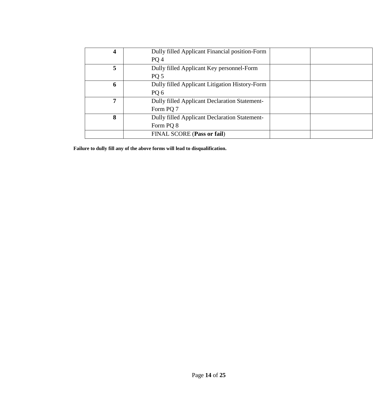| 4 | Dully filled Applicant Financial position-Form       |  |
|---|------------------------------------------------------|--|
|   | PQ 4                                                 |  |
| 5 | Dully filled Applicant Key personnel-Form            |  |
|   | PQ 5                                                 |  |
| 6 | Dully filled Applicant Litigation History-Form       |  |
|   | PQ 6                                                 |  |
| 7 | <b>Dully filled Applicant Declaration Statement-</b> |  |
|   | Form PQ 7                                            |  |
| 8 | <b>Dully filled Applicant Declaration Statement-</b> |  |
|   | Form PQ 8                                            |  |
|   | FINAL SCORE (Pass or fail)                           |  |

**Failure to dully fill any of the above forms will lead to disqualification.**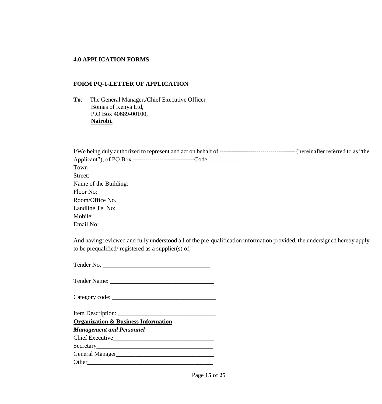#### **4.0 APPLICATION FORMS**

#### **FORM PQ-1-LETTER OF APPLICATION**

**To**: The General Manager,/Chief Executive Officer Bomas of Kenya Ltd, P.O Box 40689-00100,  **Nairobi.**

| Town                  |  |
|-----------------------|--|
| Street:               |  |
| Name of the Building: |  |
| Floor No;             |  |
| Room/Office No.       |  |
| Landline Tel No:      |  |
| Mobile:               |  |
| Email No:             |  |

And having reviewed and fully understood all of the pre-qualification information provided, the undersigned hereby apply to be prequalified/ registered as a supplier(s) of;

Tender No.

Tender Name: \_\_\_\_\_\_\_\_\_\_\_\_\_\_\_\_\_\_\_\_\_\_\_\_\_\_\_\_\_\_\_\_\_\_

Category code: \_\_\_\_\_\_\_\_\_\_\_\_\_\_\_\_\_\_\_\_\_\_\_\_\_\_\_\_\_\_\_\_\_\_

Item Description: \_\_\_\_\_\_\_\_\_\_\_\_\_\_\_\_\_\_\_\_\_\_\_\_\_\_\_\_\_\_\_\_

**Organization & Business Information**

*Management and Personnel*

Chief Executive\_\_\_\_\_\_\_\_\_\_\_\_\_\_\_\_\_\_\_\_\_\_\_\_\_\_\_\_\_\_\_\_\_

Secretary\_\_\_\_\_\_\_\_\_\_\_\_\_\_\_\_\_\_\_\_\_\_\_\_\_\_\_\_\_\_\_\_\_\_\_\_\_\_

General Manager\_\_\_\_\_\_\_\_\_\_\_\_\_\_\_\_\_\_\_\_\_\_\_\_\_\_\_\_\_\_\_\_ Other

Page **15** of **25**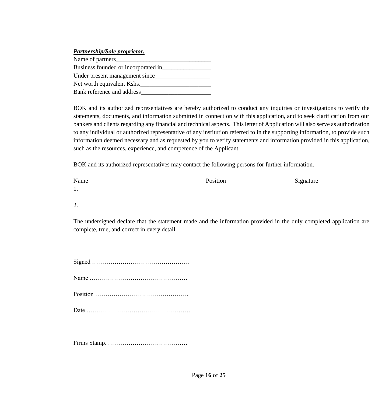#### *Partnership/Sole proprietor.*

Name of partners\_ Business founded or incorporated in\_\_\_\_\_\_\_\_\_\_\_\_\_\_\_\_ Under present management since\_\_\_\_\_\_\_\_\_\_\_\_\_\_\_\_\_\_ Net worth equivalent Kshs.\_\_\_\_\_\_\_\_\_\_\_\_\_\_\_\_\_\_\_\_\_\_\_ Bank reference and address\_\_\_\_\_\_\_\_\_\_\_\_\_\_\_\_\_\_\_\_\_\_\_

BOK and its authorized representatives are hereby authorized to conduct any inquiries or investigations to verify the statements, documents, and information submitted in connection with this application, and to seek clarification from our bankers and clients regarding any financial and technical aspects. This letter of Application will also serve as authorization to any individual or authorized representative of any institution referred to in the supporting information, to provide such information deemed necessary and as requested by you to verify statements and information provided in this application, such as the resources, experience, and competence of the Applicant.

BOK and its authorized representatives may contact the following persons for further information.

| Name | Position | Signature |
|------|----------|-----------|
| 1.   |          |           |
| 2.   |          |           |

The undersigned declare that the statement made and the information provided in the duly completed application are complete, true, and correct in every detail.

Firms Stamp. …………………………………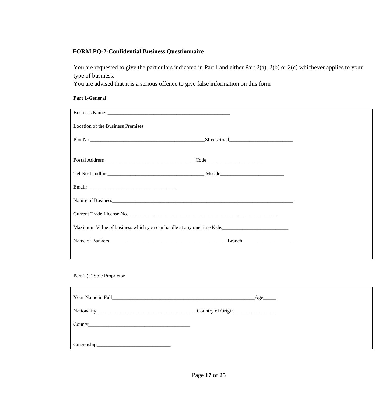# **FORM PQ-2-Confidential Business Questionnaire**

You are requested to give the particulars indicated in Part I and either Part 2(a), 2(b) or 2(c) whichever applies to your type of business.

You are advised that it is a serious offence to give false information on this form

#### **Part 1-General**

| Location of the Business Premises |               |        |  |
|-----------------------------------|---------------|--------|--|
|                                   |               |        |  |
|                                   | $\text{Code}$ |        |  |
|                                   |               |        |  |
|                                   |               |        |  |
|                                   |               |        |  |
|                                   |               |        |  |
|                                   |               |        |  |
|                                   |               | Branch |  |
|                                   |               |        |  |

#### Part 2 (a) Sole Proprietor

| Your Name in Full | $\_\text{Age}\_\text{max}$ |  |
|-------------------|----------------------------|--|
|                   | Country of Origin          |  |
|                   |                            |  |
| Citizenship       |                            |  |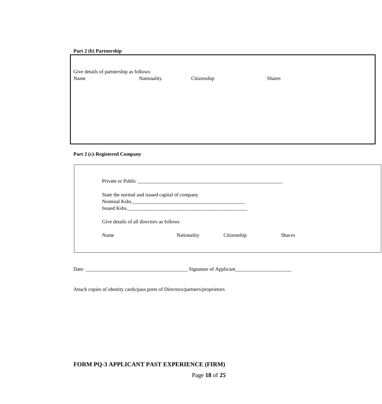#### **Part 2 (b) Partnership**

| Give details of partnership as follows: |             |             |        |  |  |  |
|-----------------------------------------|-------------|-------------|--------|--|--|--|
| Name                                    | Nationality | Citizenship | Shares |  |  |  |
|                                         |             |             |        |  |  |  |
|                                         |             |             |        |  |  |  |
|                                         |             |             |        |  |  |  |
|                                         |             |             |        |  |  |  |
|                                         |             |             |        |  |  |  |
|                                         |             |             |        |  |  |  |
|                                         |             |             |        |  |  |  |
|                                         |             |             |        |  |  |  |

#### **Part 2 (c)-Registered Company**

|                                          | State the normal and issued capital of company |             |               |  |
|------------------------------------------|------------------------------------------------|-------------|---------------|--|
|                                          |                                                |             |               |  |
|                                          |                                                |             |               |  |
|                                          |                                                |             |               |  |
|                                          |                                                |             |               |  |
| Give details of all directors as follows |                                                |             |               |  |
| Name                                     | Nationality                                    | Citizenship | <b>Shares</b> |  |

Date: \_\_\_\_\_\_\_\_\_\_\_\_\_\_\_\_\_\_\_\_\_\_\_\_\_\_\_\_\_\_\_\_\_\_\_\_\_\_\_\_ Signature of Applicant\_\_\_\_\_\_\_\_\_\_\_\_\_\_\_\_\_\_\_\_\_\_

Attach copies of identity cards/pass ports of Directors/partners/proprietors

#### **FORM PQ-3 APPLICANT PAST EXPERIENCE (FIRM)**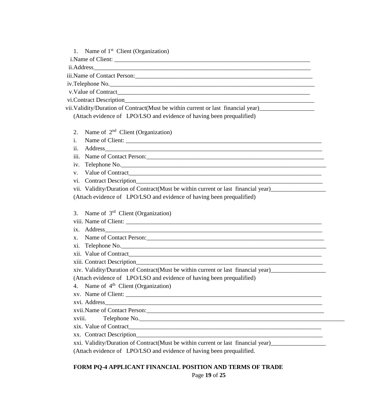1. Name of 1<sup>st</sup> Client (Organization)

i.Name of Client:

ii.Address\_\_\_\_\_\_\_\_\_\_\_\_\_\_\_\_\_\_\_\_\_\_\_\_\_\_\_\_\_\_\_\_\_\_\_\_\_\_\_\_\_\_\_\_\_\_\_\_\_\_\_\_\_\_\_\_\_\_\_\_\_\_\_\_\_\_\_\_\_\_\_

iii.Name of Contact Person:

iv.Telephone No.

v.Value of Contract

vi.Contract Description

vii. Validity/Duration of Contract(Must be within current or last financial year)\_\_\_\_\_\_\_\_\_\_\_\_\_\_\_\_\_\_\_\_\_\_\_\_\_\_\_\_\_

(Attach evidence of LPO/LSO and evidence of having been prequalified)

2. Name of 2<sup>nd</sup> Client (Organization)

i. Name of Client: \_\_\_\_\_\_\_\_\_\_\_\_\_\_\_\_\_\_\_\_\_\_\_\_\_\_\_\_\_\_\_\_\_\_\_\_\_\_\_\_\_\_\_\_\_\_\_\_\_\_\_\_\_\_\_\_\_\_\_\_\_\_\_\_

ii. Address

iii. Name of Contact Person:

iv. Telephone No.\_\_\_\_\_\_\_\_\_\_\_\_\_\_\_\_\_\_\_\_\_\_\_\_\_\_\_\_\_\_\_\_\_\_\_\_\_\_\_\_\_\_\_\_\_\_\_\_\_\_\_\_\_\_\_\_\_\_\_\_\_\_\_\_\_\_\_

v. Value of Contract\_\_\_\_\_\_\_\_\_\_\_\_\_\_\_\_\_\_\_\_\_\_\_\_\_\_\_\_\_\_\_\_\_\_\_\_\_\_\_\_\_\_\_\_\_\_\_\_\_\_\_\_\_\_\_\_\_\_\_\_\_\_\_

vi. Contract Description

vii. Validity/Duration of Contract(Must be within current or last financial year)\_\_\_\_\_\_\_\_\_\_\_\_\_\_\_\_\_\_

(Attach evidence of LPO/LSO and evidence of having been prequalified)

3. Name of 3<sup>rd</sup> Client (Organization)

viii. Name of Client: \_\_\_\_\_\_\_\_\_\_\_\_\_\_\_\_\_\_\_\_\_\_\_\_\_\_\_\_\_\_\_\_\_\_\_\_\_\_\_\_\_\_\_\_\_\_\_\_\_\_\_\_\_\_\_\_\_\_\_\_\_\_\_\_

ix. Address

x. Name of Contact Person:

xi. Telephone No.

xii. Value of Contract

xiii. Contract Description\_\_\_\_\_\_\_\_\_\_\_\_\_\_\_\_\_\_\_\_\_\_\_\_\_\_\_\_\_\_\_\_\_\_\_\_\_\_\_\_\_\_\_\_\_\_\_\_\_\_\_\_\_\_\_\_\_\_\_\_\_

xiv. Validity/Duration of Contract(Must be within current or last financial year)\_\_\_\_\_\_\_\_\_\_\_\_\_\_\_\_\_\_

(Attach evidence of LPO/LSO and evidence of having been prequalified)

4. Name of  $4<sup>th</sup>$  Client (Organization)

xv. Name of Client:

xvi. Address\_\_\_\_\_\_\_\_\_\_\_\_\_\_\_\_\_\_\_\_\_\_\_\_\_\_\_\_\_\_\_\_\_\_\_\_\_\_\_\_\_\_\_\_\_\_\_\_\_\_\_\_\_\_\_\_\_\_\_\_\_\_\_\_\_\_\_\_\_\_\_

xvii.Name of Contact Person:\_\_\_\_\_\_\_\_\_\_\_\_\_\_\_\_\_\_\_\_\_\_\_\_\_\_\_\_\_\_\_\_\_\_\_\_\_\_\_\_\_\_\_\_\_\_\_\_\_\_\_\_\_\_\_\_\_\_

xviii. Telephone No.

xix. Value of Contract

xx. Contract Description

xxi. Validity/Duration of Contract(Must be within current or last financial year)\_\_\_\_\_\_\_\_\_\_\_\_\_\_\_\_\_\_

(Attach evidence of LPO/LSO and evidence of having been prequalified.

# **FORM PQ-4 APPLICANT FINANCIAL POSITION AND TERMS OF TRADE**

Page **19** of **25**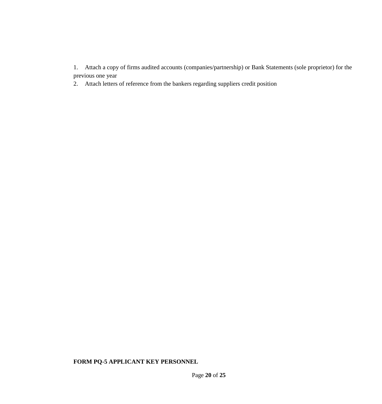1. Attach a copy of firms audited accounts (companies/partnership) or Bank Statements (sole proprietor) for the previous one year

2. Attach letters of reference from the bankers regarding suppliers credit position

# **FORM PQ-5 APPLICANT KEY PERSONNEL**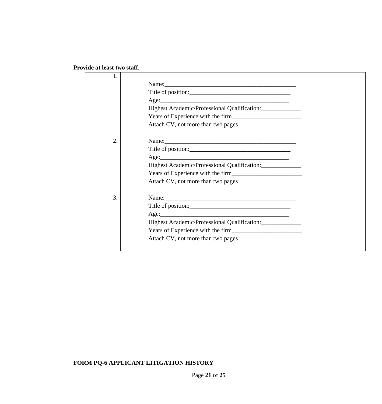# **Provide at least two staff.**

| 1. |                                              |
|----|----------------------------------------------|
|    |                                              |
|    |                                              |
|    |                                              |
|    | Highest Academic/Professional Qualification: |
|    |                                              |
|    | Attach CV, not more than two pages           |
| 2. |                                              |
|    | Title of position:                           |
|    |                                              |
|    | Highest Academic/Professional Qualification: |
|    |                                              |
|    | Attach CV, not more than two pages           |
| 3. |                                              |
|    | Title of position:                           |
|    |                                              |
|    | Highest Academic/Professional Qualification: |
|    |                                              |
|    | Attach CV, not more than two pages           |
|    |                                              |

# **FORM PQ-6 APPLICANT LITIGATION HISTORY**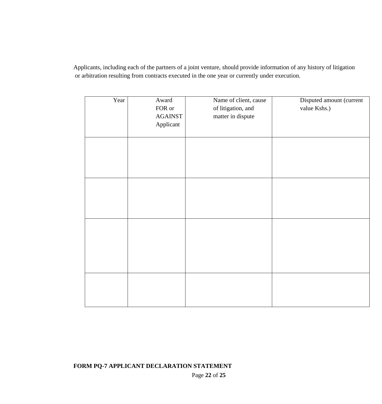Applicants, including each of the partners of a joint venture, should provide information of any history of litigation or arbitration resulting from contracts executed in the one year or currently under execution.

| Year | Award<br>${\rm FOR}$ or<br><b>AGAINST</b><br>Applicant | Name of client, cause<br>of litigation, and<br>matter in dispute | Disputed amount (current<br>value Kshs.) |
|------|--------------------------------------------------------|------------------------------------------------------------------|------------------------------------------|
|      |                                                        |                                                                  |                                          |
|      |                                                        |                                                                  |                                          |
|      |                                                        |                                                                  |                                          |
|      |                                                        |                                                                  |                                          |

**FORM PQ-7 APPLICANT DECLARATION STATEMENT**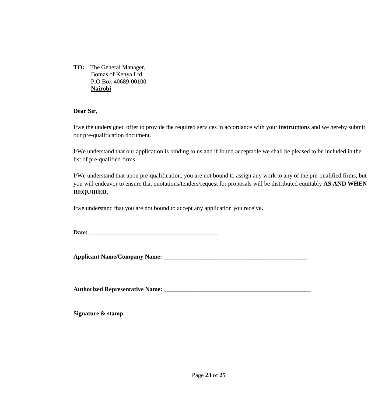**TO:** The General Manager, Bomas of Kenya Ltd, P.O Box 40689-00100 **Nairobi**

#### **Dear Sir,**

I/we the undersigned offer to provide the required services in accordance with your **instructions** and we hereby submit our pre-qualification document.

I/We understand that our application is binding to us and if found acceptable we shall be pleased to be included in the list of pre-qualified firms.

I/We understand that upon pre-qualification, you are not bound to assign any work to any of the pre-qualified firms, but you will endeavor to ensure that quotations/tenders/request for proposals will be distributed equitably **AS AND WHEN REQUIRED.**

I/we understand that you are not bound to accept any application you receive**.**

Date:

**Applicant Name/Company Name: \_\_\_\_\_\_\_\_\_\_\_\_\_\_\_\_\_\_\_\_\_\_\_\_\_\_\_\_\_\_\_\_\_\_\_\_\_\_\_\_\_\_\_\_\_\_\_**

**Authorized Representative Name: \_\_\_\_\_\_\_\_\_\_\_\_\_\_\_\_\_\_\_\_\_\_\_\_\_\_\_\_\_\_\_\_\_\_\_\_\_\_\_\_\_\_\_\_\_\_\_\_**

**Signature & stamp**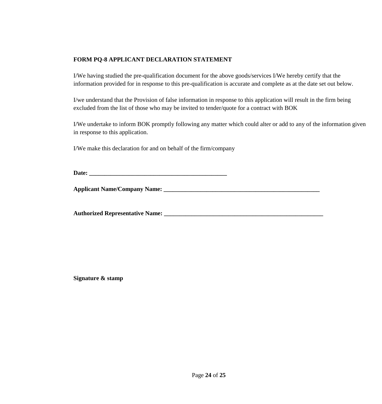#### **FORM PQ-8 APPLICANT DECLARATION STATEMENT**

I/We having studied the pre-qualification document for the above goods/services I/We hereby certify that the information provided for in response to this pre-qualification is accurate and complete as at the date set out below.

I/we understand that the Provision of false information in response to this application will result in the firm being excluded from the list of those who may be invited to tender/quote for a contract with BOK

I/We undertake to inform BOK promptly following any matter which could alter or add to any of the information given in response to this application.

I/We make this declaration for and on behalf of the firm/company

**Date: \_\_\_\_\_\_\_\_\_\_\_\_\_\_\_\_\_\_\_\_\_\_\_\_\_\_\_\_\_\_\_\_\_\_\_\_\_\_\_\_\_\_\_\_\_**

**Applicant Name/Company Name: \_\_\_\_\_\_\_\_\_\_\_\_\_\_\_\_\_\_\_\_\_\_\_\_\_\_\_\_\_\_\_\_\_\_\_\_\_\_\_\_\_\_\_\_\_\_\_\_\_\_\_**

**Authorized Representative Name: \_\_\_\_\_\_\_\_\_\_\_\_\_\_\_\_\_\_\_\_\_\_\_\_\_\_\_\_\_\_\_\_\_\_\_\_\_\_\_\_\_\_\_\_\_\_\_\_\_\_\_\_**

**Signature & stamp**